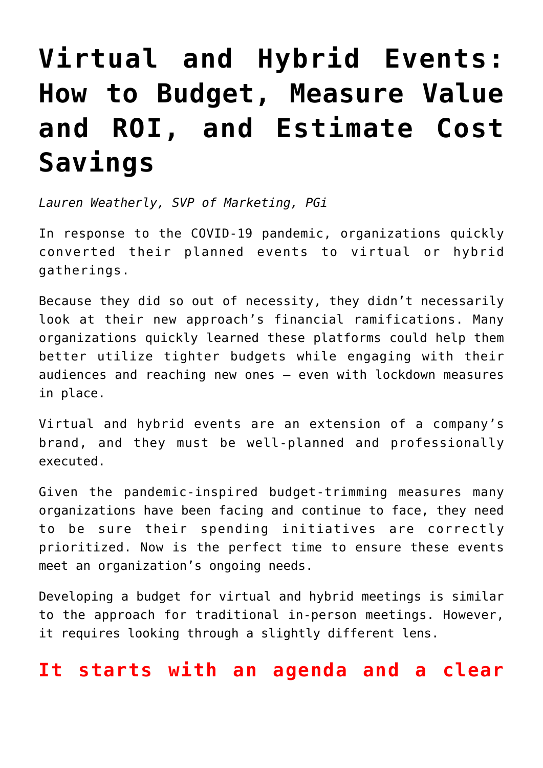# **[Virtual and Hybrid Events:](https://www.commpro.biz/virtual-and-hybrid-events-how-to-budget-measure-value-and-roi-and-estimate-cost-savings/) [How to Budget, Measure Value](https://www.commpro.biz/virtual-and-hybrid-events-how-to-budget-measure-value-and-roi-and-estimate-cost-savings/) [and ROI, and Estimate Cost](https://www.commpro.biz/virtual-and-hybrid-events-how-to-budget-measure-value-and-roi-and-estimate-cost-savings/) [Savings](https://www.commpro.biz/virtual-and-hybrid-events-how-to-budget-measure-value-and-roi-and-estimate-cost-savings/)**

*Lauren Weatherly, SVP of Marketing, [PGi](http://www.pgi.com/)*

In response to the COVID-19 pandemic, organizations quickly converted their planned events to virtual or hybrid gatherings.

Because they did so out of necessity, they didn't necessarily look at their new approach's financial ramifications. Many organizations quickly learned these platforms could help them better utilize tighter budgets while engaging with their audiences and reaching new ones — even with lockdown measures in place.

Virtual and hybrid events are an extension of a company's brand, and they must be well-planned and professionally executed.

Given the pandemic-inspired budget-trimming measures many organizations have been facing and continue to face, they need to be sure their spending initiatives are correctly prioritized. Now is the perfect time to ensure these events meet an organization's ongoing needs.

Developing a budget for virtual and hybrid meetings is similar to the approach for traditional in-person meetings. However, it requires looking through a slightly different lens.

### **It starts with an agenda and a clear**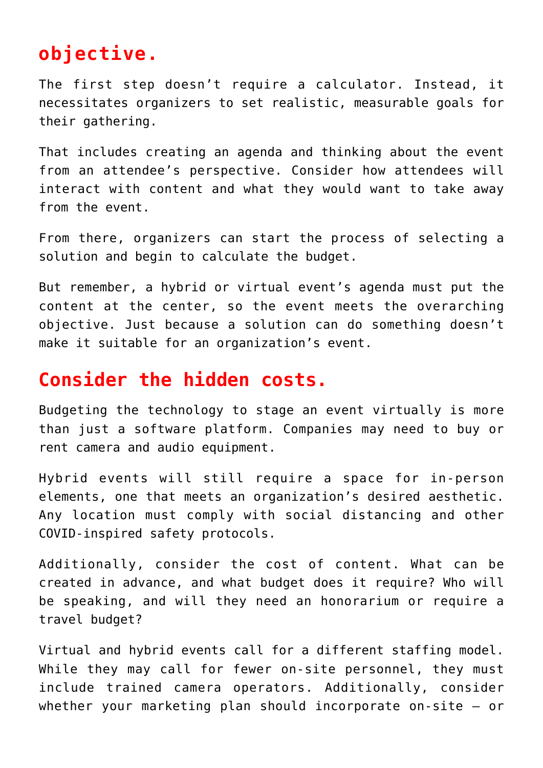## **objective.**

The first step doesn't require a calculator. Instead, it necessitates organizers to set realistic, measurable goals for their gathering.

That includes creating an agenda and thinking about the event from an attendee's perspective. Consider how attendees will interact with content and what they would want to take away from the event.

From there, organizers can start the process of selecting a solution and begin to calculate the budget.

But remember, a hybrid or virtual event's agenda must put the content at the center, so the event meets the overarching objective. Just because a solution can do something doesn't make it suitable for an organization's event.

### **Consider the hidden costs.**

Budgeting the technology to stage an event virtually is more than just a software platform. Companies may need to buy or rent camera and audio equipment.

Hybrid events will still require a space for in-person elements, one that meets an organization's desired aesthetic. Any location must comply with social distancing and other COVID-inspired safety protocols.

Additionally, consider the cost of content. What can be created in advance, and what budget does it require? Who will be speaking, and will they need an honorarium or require a travel budget?

Virtual and hybrid events call for a different staffing model. While they may call for fewer on-site personnel, they must include trained camera operators. Additionally, consider whether your marketing plan should incorporate on-site — or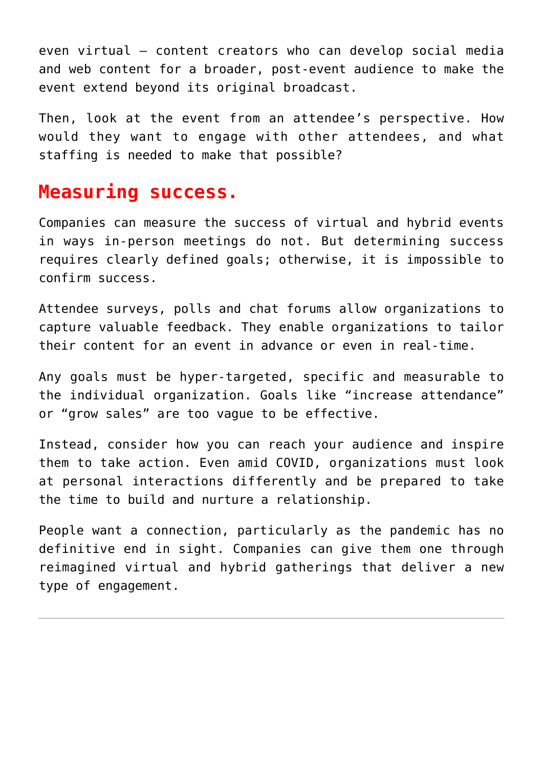even virtual — content creators who can develop social media and web content for a broader, post-event audience to make the event extend beyond its original broadcast.

Then, look at the event from an attendee's perspective. How would they want to engage with other attendees, and what staffing is needed to make that possible?

## **Measuring success.**

Companies can measure the success of virtual and hybrid events in ways in-person meetings do not. But determining success requires clearly defined goals; otherwise, it is impossible to confirm success.

Attendee surveys, polls and chat forums allow organizations to capture valuable feedback. They enable organizations to tailor their content for an event in advance or even in real-time.

Any goals must be hyper-targeted, specific and measurable to the individual organization. Goals like "increase attendance" or "grow sales" are too vague to be effective.

Instead, consider how you can reach your audience and inspire them to take action. Even amid COVID, organizations must look at personal interactions differently and be prepared to take the time to build and nurture a relationship.

People want a connection, particularly as the [pandemic](https://www.commpro.biz/predictions-for-the-continuing-evolution-of-virtual-and-hybrid-events/) has no definitive end in sight. Companies can give them one through reimagined virtual and hybrid gatherings that deliver a new type of engagement.